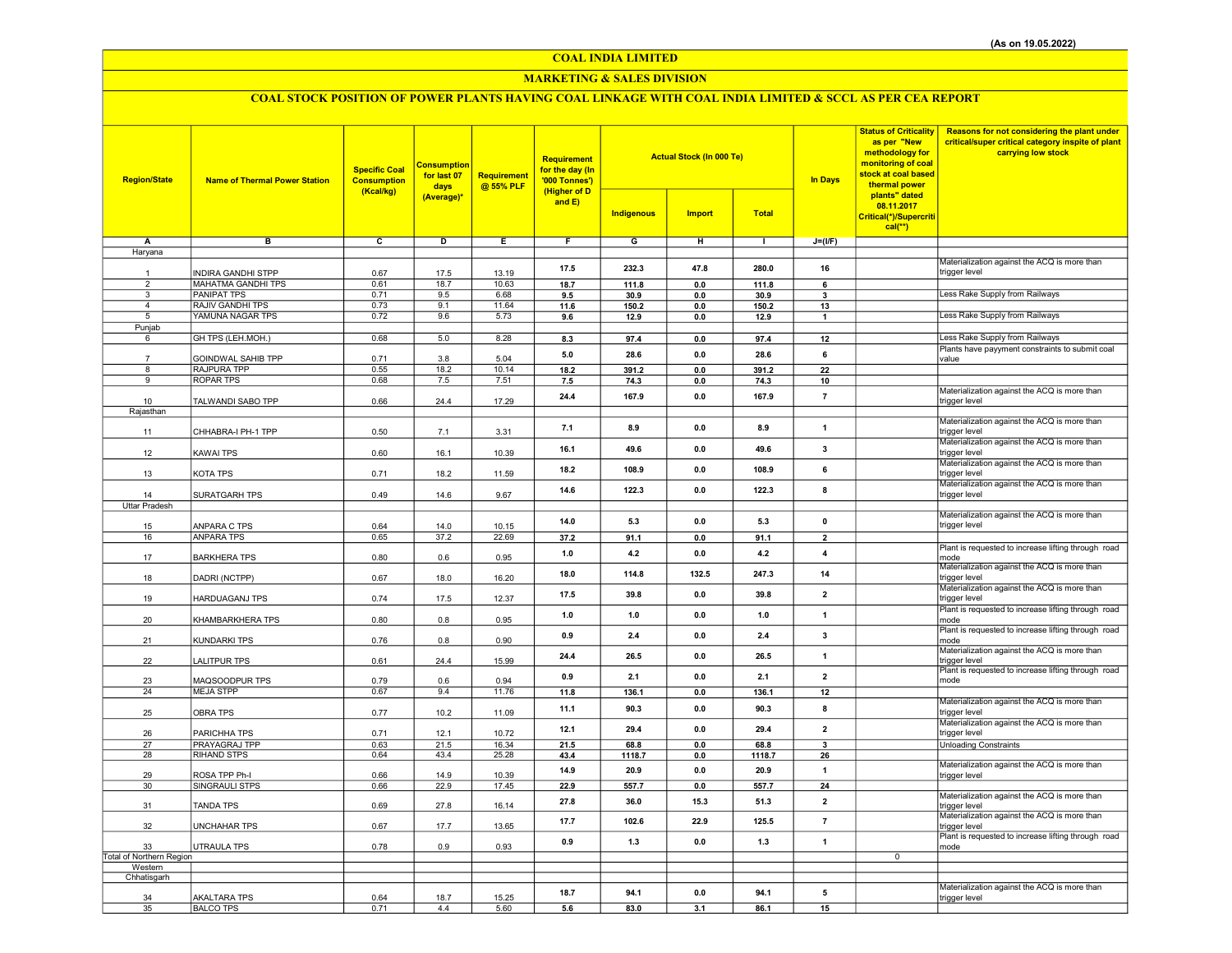## COAL INDIA LIMITED

## MARKETING & SALES DIVISION

# COAL STOCK POSITION OF POWER PLANTS HAVING COAL LINKAGE WITH COAL INDIA LIMITED & SCCL AS PER CEA REPORT

| <b>Region/State</b>                 | <b>Name of Thermal Power Station</b>                   | <b>Specific Coal</b><br><b>Consumption</b><br>(Kcal/kg) | <b>Consumption</b><br>for last 07<br>days<br>(Average)* | <b>Requirement</b><br>@ 55% PLF | Requirement<br>for the day (In<br>'000 Tonnes')<br>(Higher of D<br>and E) | <b>Actual Stock (In 000 Te)</b><br><b>Indigenous</b><br><b>Import</b><br><b>Total</b> |                |                | <b>In Days</b>                | <b>Status of Criticality</b><br>as per "New<br>methodology for<br>monitoring of coal<br>stock at coal based<br>thermal power<br>plants" dated<br>08.11.2017<br>Critical(*)/Supercriti | Reasons for not considering the plant under<br>critical/super critical category inspite of plant<br>carrying low stock |
|-------------------------------------|--------------------------------------------------------|---------------------------------------------------------|---------------------------------------------------------|---------------------------------|---------------------------------------------------------------------------|---------------------------------------------------------------------------------------|----------------|----------------|-------------------------------|---------------------------------------------------------------------------------------------------------------------------------------------------------------------------------------|------------------------------------------------------------------------------------------------------------------------|
|                                     |                                                        |                                                         |                                                         |                                 |                                                                           |                                                                                       |                |                |                               | $cal(**)$                                                                                                                                                                             |                                                                                                                        |
| Α                                   | в                                                      | c                                                       | D                                                       | Ε                               | F                                                                         | G                                                                                     | н              | $\mathbf{L}$   | $J=(I/F)$                     |                                                                                                                                                                                       |                                                                                                                        |
| Haryana                             |                                                        |                                                         |                                                         |                                 |                                                                           |                                                                                       |                |                |                               |                                                                                                                                                                                       |                                                                                                                        |
| $\mathbf{1}$                        |                                                        |                                                         |                                                         |                                 | 17.5                                                                      | 232.3                                                                                 | 47.8           | 280.0          | 16                            |                                                                                                                                                                                       | Materialization against the ACQ is more than                                                                           |
| $\overline{2}$                      | <b>INDIRA GANDHI STPP</b><br><b>MAHATMA GANDHI TPS</b> | 0.67<br>0.61                                            | 17.5<br>18.7                                            | 13.19<br>10.63                  | 18.7                                                                      | 111.8                                                                                 | $0.0\,$        | 111.8          | 6                             |                                                                                                                                                                                       | trigger level                                                                                                          |
| $\overline{\mathbf{3}}$             | <b>PANIPAT TPS</b>                                     | 0.71                                                    | 9.5                                                     | 6.68                            | 9.5                                                                       | 30.9                                                                                  | 0.0            | 30.9           | $\overline{\mathbf{3}}$       |                                                                                                                                                                                       | Less Rake Supply from Railways                                                                                         |
| $\overline{4}$                      | RAJIV GANDHI TPS                                       | 0.73                                                    | 9.1                                                     | 11.64                           | 11.6                                                                      | 150.2                                                                                 | 0.0            | 150.2          | 13                            |                                                                                                                                                                                       |                                                                                                                        |
| 5                                   | YAMUNA NAGAR TPS                                       | 0.72                                                    | 9.6                                                     | 5.73                            | 9.6                                                                       | 12.9                                                                                  | 0.0            | 12.9           | $\mathbf{1}$                  |                                                                                                                                                                                       | Less Rake Supply from Railways                                                                                         |
| Punjab                              |                                                        |                                                         |                                                         |                                 |                                                                           |                                                                                       |                |                |                               |                                                                                                                                                                                       |                                                                                                                        |
| 6                                   | GH TPS (LEH.MOH.)                                      | 0.68                                                    | 5.0                                                     | 8.28                            | 8.3                                                                       | 97.4                                                                                  | $\mathbf{0.0}$ | 97.4           | 12                            |                                                                                                                                                                                       | Less Rake Supply from Railways                                                                                         |
|                                     | GOINDWAL SAHIB TPP                                     | 0.71                                                    | 3.8                                                     | 5.04                            | 5.0                                                                       | 28.6                                                                                  | 0.0            | 28.6           | 6                             |                                                                                                                                                                                       | Plants have payyment constraints to submit coal<br>value                                                               |
| 8                                   | RAJPURA TPP                                            | 0.55                                                    | 18.2                                                    | 10.14                           | 18.2                                                                      | 391.2                                                                                 | 0.0            | 391.2          | 22                            |                                                                                                                                                                                       |                                                                                                                        |
| 9                                   | <b>ROPAR TPS</b>                                       | 0.68                                                    | 7.5                                                     | 7.51                            | 7.5                                                                       | 74.3                                                                                  | 0.0            | 74.3           | 10                            |                                                                                                                                                                                       |                                                                                                                        |
|                                     |                                                        |                                                         |                                                         |                                 |                                                                           | 167.9                                                                                 | 0.0            | 167.9          | $\overline{7}$                |                                                                                                                                                                                       | Materialization against the ACQ is more than                                                                           |
| 10                                  | TALWANDI SABO TPP                                      | 0.66                                                    | 24.4                                                    | 17.29                           | 24.4                                                                      |                                                                                       |                |                |                               |                                                                                                                                                                                       | trigger level                                                                                                          |
| Rajasthan                           |                                                        |                                                         |                                                         |                                 |                                                                           |                                                                                       |                |                |                               |                                                                                                                                                                                       | Materialization against the ACQ is more than                                                                           |
| 11                                  | CHHABRA-I PH-1 TPP                                     | 0.50                                                    | 7.1                                                     | 3.31                            | 7.1                                                                       | 8.9                                                                                   | 0.0            | 8.9            | $\mathbf{1}$                  |                                                                                                                                                                                       | trigger level                                                                                                          |
|                                     |                                                        |                                                         |                                                         |                                 |                                                                           |                                                                                       |                |                |                               |                                                                                                                                                                                       | Materialization against the ACQ is more than                                                                           |
| 12                                  | <b>KAWAI TPS</b>                                       | 0.60                                                    | 16.1                                                    | 10.39                           | 16.1                                                                      | 49.6                                                                                  | 0.0            | 49.6           | 3                             |                                                                                                                                                                                       | trigger level                                                                                                          |
|                                     |                                                        |                                                         |                                                         |                                 | 18.2                                                                      | 108.9                                                                                 | 0.0            | 108.9          | 6                             |                                                                                                                                                                                       | Materialization against the ACQ is more than                                                                           |
| 13                                  | KOTA TPS                                               | 0.71                                                    | 18.2                                                    | 11.59                           |                                                                           |                                                                                       |                |                |                               |                                                                                                                                                                                       | trigger level                                                                                                          |
| 14                                  | SURATGARH TPS                                          | 0.49                                                    | 14.6                                                    | 9.67                            | 14.6                                                                      | 122.3                                                                                 | 0.0            | 122.3          | 8                             |                                                                                                                                                                                       | Materialization against the ACQ is more than<br>trigger level                                                          |
| <b>Uttar Pradesh</b>                |                                                        |                                                         |                                                         |                                 |                                                                           |                                                                                       |                |                |                               |                                                                                                                                                                                       |                                                                                                                        |
|                                     |                                                        |                                                         |                                                         |                                 |                                                                           |                                                                                       |                |                |                               |                                                                                                                                                                                       | Materialization against the ACQ is more than                                                                           |
| 15                                  | ANPARA C TPS                                           | 0.64                                                    | 14.0                                                    | 10.15                           | 14.0                                                                      | 5.3                                                                                   | 0.0            | 5.3            | $\mathbf 0$                   |                                                                                                                                                                                       | trigger level                                                                                                          |
| 16                                  | <b>ANPARA TPS</b>                                      | 0.65                                                    | 37.2                                                    | 22.69                           | 37.2                                                                      | 91.1                                                                                  | $0.0\,$        | 91.1           | $\overline{2}$                |                                                                                                                                                                                       |                                                                                                                        |
|                                     |                                                        |                                                         |                                                         |                                 | 1.0                                                                       | 4.2                                                                                   | 0.0            | 4.2            | $\overline{\mathbf{4}}$       |                                                                                                                                                                                       | Plant is requested to increase lifting through road                                                                    |
| 17                                  | <b>BARKHERA TPS</b>                                    | 0.80                                                    | 0.6                                                     | 0.95                            |                                                                           |                                                                                       |                |                |                               |                                                                                                                                                                                       | mode<br>Materialization against the ACQ is more than                                                                   |
| 18                                  | DADRI (NCTPP)                                          | 0.67                                                    | 18.0                                                    | 16.20                           | 18.0                                                                      | 114.8                                                                                 | 132.5          | 247.3          | 14                            |                                                                                                                                                                                       | trigger level                                                                                                          |
|                                     |                                                        |                                                         |                                                         |                                 |                                                                           |                                                                                       |                |                |                               |                                                                                                                                                                                       | Materialization against the ACQ is more than                                                                           |
| 19                                  | <b>HARDUAGANJ TPS</b>                                  | 0.74                                                    | 17.5                                                    | 12.37                           | 17.5                                                                      | 39.8                                                                                  | 0.0            | 39.8           | $\overline{2}$                |                                                                                                                                                                                       | trigger level                                                                                                          |
|                                     |                                                        |                                                         |                                                         |                                 | 1.0                                                                       | 1.0                                                                                   | 0.0            | 1.0            | $\overline{1}$                |                                                                                                                                                                                       | Plant is requested to increase lifting through road                                                                    |
| 20                                  | KHAMBARKHERA TPS                                       | 0.80                                                    | 0.8                                                     | 0.95                            |                                                                           |                                                                                       |                |                |                               |                                                                                                                                                                                       | mode<br>Plant is requested to increase lifting through road                                                            |
| 21                                  | KUNDARKI TPS                                           | 0.76                                                    | 0.8                                                     | 0.90                            | 0.9                                                                       | $2.4\,$                                                                               | 0.0            | 2.4            | $\mathbf{3}$                  |                                                                                                                                                                                       | mode                                                                                                                   |
|                                     |                                                        |                                                         |                                                         |                                 | 24.4                                                                      | 26.5                                                                                  | 0.0            | 26.5           | 1                             |                                                                                                                                                                                       | Materialization against the ACQ is more than                                                                           |
| 22                                  | <b>LALITPUR TPS</b>                                    | 0.61                                                    | 24.4                                                    | 15.99                           |                                                                           |                                                                                       |                |                |                               |                                                                                                                                                                                       | trigger level                                                                                                          |
| 23                                  | MAQSOODPUR TPS                                         | 0.79                                                    | 0.6                                                     | 0.94                            | 0.9                                                                       | 2.1                                                                                   | 0.0            | 2.1            | $\overline{\mathbf{2}}$       |                                                                                                                                                                                       | Plant is requested to increase lifting through road<br>mode                                                            |
| 24                                  | <b>MEJA STPP</b>                                       | 0.67                                                    | 9.4                                                     | 11.76                           | 11.8                                                                      | 136.1                                                                                 | 0.0            | 136.1          | 12                            |                                                                                                                                                                                       |                                                                                                                        |
|                                     |                                                        |                                                         |                                                         |                                 |                                                                           |                                                                                       |                |                |                               |                                                                                                                                                                                       | Materialization against the ACQ is more than                                                                           |
| 25                                  | <b>OBRA TPS</b>                                        | 0.77                                                    | 10.2                                                    | 11.09                           | 11.1                                                                      | 90.3                                                                                  | 0.0            | 90.3           | 8                             |                                                                                                                                                                                       | trigger level                                                                                                          |
|                                     |                                                        |                                                         |                                                         |                                 | 12.1                                                                      | 29.4                                                                                  | 0.0            | 29.4           | $\overline{2}$                |                                                                                                                                                                                       | Materialization against the ACQ is more than                                                                           |
| 26                                  | PARICHHA TPS                                           | 0.71                                                    | 12.1                                                    | 10.72                           |                                                                           |                                                                                       |                |                |                               |                                                                                                                                                                                       | trigger level                                                                                                          |
| 27<br>28                            | PRAYAGRAJ TPP<br>RIHAND STPS                           | 0.63<br>0.64                                            | 21.5<br>43.4                                            | 16.34<br>25.28                  | 21.5<br>43.4                                                              | 68.8<br>1118.7                                                                        | 0.0<br>0.0     | 68.8<br>1118.7 | $\overline{\mathbf{3}}$<br>26 |                                                                                                                                                                                       | <b>Unloading Constraints</b>                                                                                           |
|                                     |                                                        |                                                         |                                                         |                                 |                                                                           |                                                                                       |                |                |                               |                                                                                                                                                                                       | Materialization against the ACQ is more than                                                                           |
| 29                                  | ROSA TPP Ph-I                                          | 0.66                                                    | 14.9                                                    | 10.39                           | 14.9                                                                      | 20.9                                                                                  | 0.0            | 20.9           | $\overline{1}$                |                                                                                                                                                                                       | trigger level                                                                                                          |
| 30                                  | SINGRAULI STPS                                         | 0.66                                                    | 22.9                                                    | 17.45                           | 22.9                                                                      | 557.7                                                                                 | 0.0            | 557.7          | 24                            |                                                                                                                                                                                       |                                                                                                                        |
| 31                                  | <b>TANDA TPS</b>                                       | 0.69                                                    | 27.8                                                    | 16.14                           | 27.8                                                                      | 36.0                                                                                  | 15.3           | 51.3           | $\overline{2}$                |                                                                                                                                                                                       | Materialization against the ACQ is more than                                                                           |
|                                     |                                                        |                                                         |                                                         |                                 |                                                                           |                                                                                       |                |                |                               |                                                                                                                                                                                       | trigger level<br>Materialization against the ACQ is more than                                                          |
| 32                                  | <b>UNCHAHAR TPS</b>                                    | 0.67                                                    | 17.7                                                    | 13.65                           | 17.7                                                                      | 102.6                                                                                 | 22.9           | 125.5          | $\overline{7}$                |                                                                                                                                                                                       | trigger level                                                                                                          |
|                                     |                                                        |                                                         |                                                         |                                 | 0.9                                                                       | $1.3$                                                                                 | 0.0            | 1.3            | $\overline{1}$                |                                                                                                                                                                                       | Plant is requested to increase lifting through road                                                                    |
| 33                                  | <b>UTRAULA TPS</b>                                     | 0.78                                                    | 0.9                                                     | 0.93                            |                                                                           |                                                                                       |                |                |                               |                                                                                                                                                                                       | mode                                                                                                                   |
| Total of Northern Region<br>Western |                                                        |                                                         |                                                         |                                 |                                                                           |                                                                                       |                |                |                               | $\overline{0}$                                                                                                                                                                        |                                                                                                                        |
| Chhatisgarh                         |                                                        |                                                         |                                                         |                                 |                                                                           |                                                                                       |                |                |                               |                                                                                                                                                                                       |                                                                                                                        |
|                                     |                                                        |                                                         |                                                         |                                 |                                                                           | 94.1                                                                                  | 0.0            | 94.1           | 5                             |                                                                                                                                                                                       | Materialization against the ACQ is more than                                                                           |
| 34                                  | <b>AKALTARA TPS</b>                                    | 0.64                                                    | 18.7                                                    | 15.25                           | 18.7                                                                      |                                                                                       |                |                |                               |                                                                                                                                                                                       | trigger level                                                                                                          |
| 35                                  | <b>BALCO TPS</b>                                       | 0.71                                                    | 4.4                                                     | 5.60                            | 5.6                                                                       | 83.0                                                                                  | 3.1            | 86.1           | 15                            |                                                                                                                                                                                       |                                                                                                                        |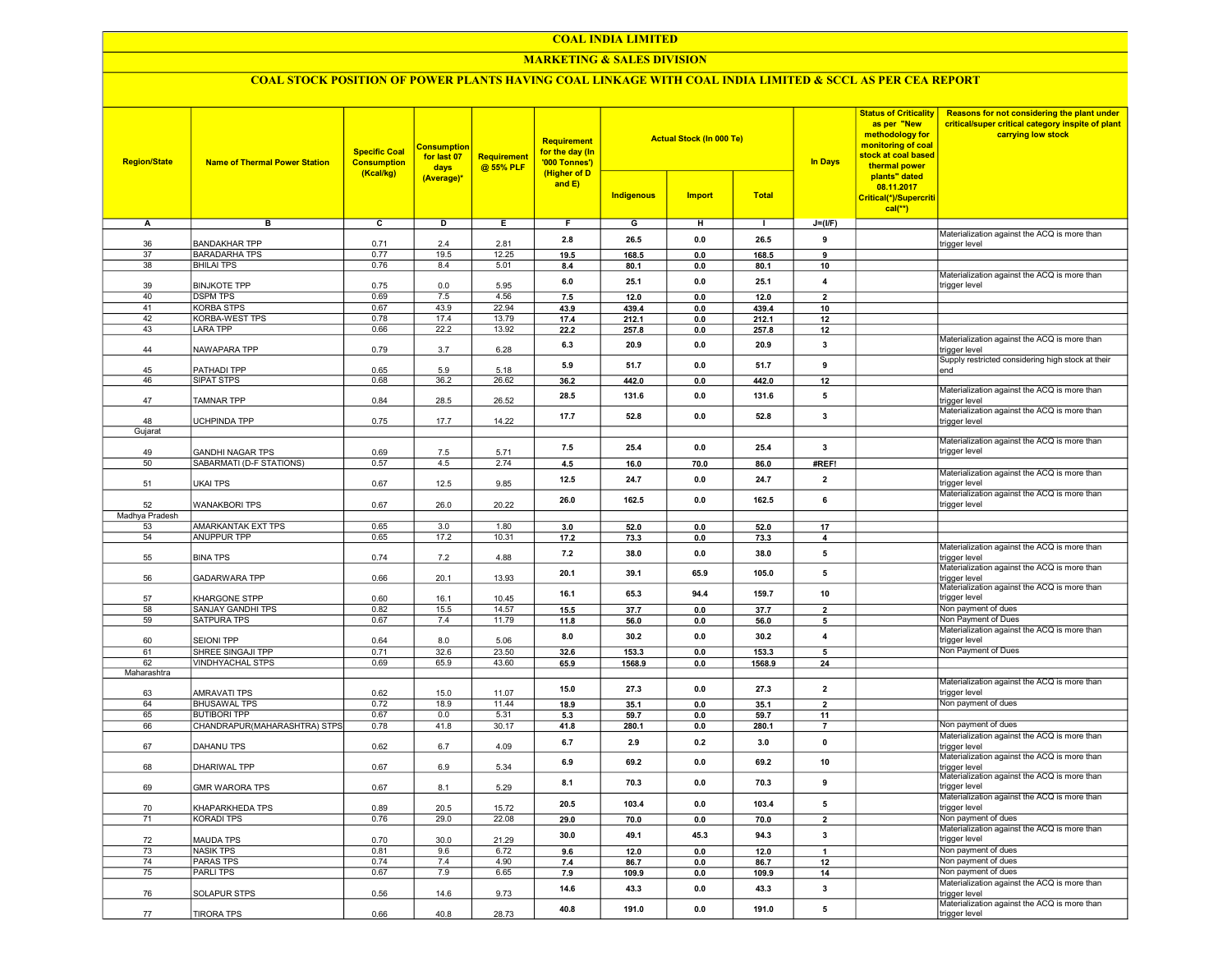#### COAL INDIA LIMITED

## MARKETING & SALES DIVISION

## COAL STOCK POSITION OF POWER PLANTS HAVING COAL LINKAGE WITH COAL INDIA LIMITED & SCCL AS PER CEA REPORT

| <b>Region/State</b> | <b>Name of Thermal Power Station</b>       | <b>Specific Coal</b><br><b>Consumption</b><br>(Kcal/kg) | <b>Consumption</b><br>for last 07<br>days<br>(Average)* | <b>Requirement</b><br>@ 55% PLF | <b>Requirement</b><br>for the day (In<br>'000 Tonnes')<br>(Higher of D<br>and E) | <b>Indigenous</b> | <b>Actual Stock (In 000 Te)</b><br><b>Import</b> | <b>Total</b>  | <b>In Days</b>          | <b>Status of Criticality</b><br>as per "New<br>methodology for<br>monitoring of coal<br>stock at coal based<br>thermal power<br>plants" dated<br>08.11.2017<br>Critical(*)/Supercriti<br>$cal$ (**) | Reasons for not considering the plant under<br>critical/super critical category inspite of plant<br>carrying low stock |
|---------------------|--------------------------------------------|---------------------------------------------------------|---------------------------------------------------------|---------------------------------|----------------------------------------------------------------------------------|-------------------|--------------------------------------------------|---------------|-------------------------|-----------------------------------------------------------------------------------------------------------------------------------------------------------------------------------------------------|------------------------------------------------------------------------------------------------------------------------|
| А                   | в                                          | $\overline{c}$                                          | D                                                       | Е.                              | F.                                                                               | G                 | н                                                | л.            | $J=(I/F)$               |                                                                                                                                                                                                     |                                                                                                                        |
|                     |                                            |                                                         |                                                         |                                 |                                                                                  |                   |                                                  |               |                         |                                                                                                                                                                                                     | Materialization against the ACQ is more than                                                                           |
| 36                  | <b>BANDAKHAR TPP</b>                       | 0.71                                                    | 2.4                                                     | 2.81                            | 2.8                                                                              | 26.5              | 0.0                                              | 26.5          | 9                       |                                                                                                                                                                                                     | trigger level                                                                                                          |
| 37                  | <b>BARADARHA TPS</b>                       | 0.77                                                    | 19.5                                                    | 12.25                           | 19.5                                                                             | 168.5             | 0.0                                              | 168.5         | 9                       |                                                                                                                                                                                                     |                                                                                                                        |
| 38                  | <b>BHILAI TPS</b>                          | 0.76                                                    | 8.4                                                     | 5.01                            | 8.4                                                                              | 80.1              | 0.0                                              | 80.1          | 10                      |                                                                                                                                                                                                     |                                                                                                                        |
| 39                  | <b>BINJKOTE TPP</b>                        | 0.75                                                    | 0.0                                                     | 5.95                            | 6.0                                                                              | 25.1              | 0.0                                              | 25.1          | $\overline{4}$          |                                                                                                                                                                                                     | Materialization against the ACQ is more than<br>trigger level                                                          |
| 40                  | <b>DSPM TPS</b>                            | 0.69                                                    | 7.5                                                     | 4.56                            | 7.5                                                                              | 12.0              | 0.0                                              | 12.0          | $\overline{2}$          |                                                                                                                                                                                                     |                                                                                                                        |
| 41                  | <b>KORBA STPS</b>                          | 0.67                                                    | 43.9                                                    | 22.94                           | 43.9                                                                             | 439.4             | 0.0                                              | 439.4         | 10                      |                                                                                                                                                                                                     |                                                                                                                        |
| 42                  | KORBA-WEST TPS                             | 0.78                                                    | 17.4                                                    | 13.79                           | 17.4                                                                             | 212.1             | 0.0                                              | 212.1         | 12                      |                                                                                                                                                                                                     |                                                                                                                        |
| 43                  | LARA TPP                                   | 0.66                                                    | 22.2                                                    | 13.92                           | 22.2                                                                             | 257.8             | 0.0                                              | 257.8         | 12                      |                                                                                                                                                                                                     |                                                                                                                        |
|                     |                                            |                                                         |                                                         |                                 | 6.3                                                                              | 20.9              | 0.0                                              | 20.9          | 3                       |                                                                                                                                                                                                     | Materialization against the ACQ is more than                                                                           |
| 44                  | NAWAPARA TPP                               | 0.79                                                    | 3.7                                                     | 6.28                            |                                                                                  |                   |                                                  |               |                         |                                                                                                                                                                                                     | trigger level                                                                                                          |
| 45                  | PATHADI TPP                                | 0.65                                                    | 5.9                                                     | 5.18                            | 5.9                                                                              | 51.7              | 0.0                                              | 51.7          | 9                       |                                                                                                                                                                                                     | Supply restricted considering high stock at their<br>end                                                               |
| 46                  | SIPAT STPS                                 | 0.68                                                    | 36.2                                                    | 26.62                           | 36.2                                                                             | 442.0             | 0.0                                              | 442.0         | 12                      |                                                                                                                                                                                                     |                                                                                                                        |
|                     |                                            |                                                         |                                                         |                                 |                                                                                  |                   |                                                  |               |                         |                                                                                                                                                                                                     | Materialization against the ACQ is more than                                                                           |
| 47                  | TAMNAR TPP                                 | 0.84                                                    | 28.5                                                    | 26.52                           | 28.5                                                                             | 131.6             | 0.0                                              | 131.6         | 5                       |                                                                                                                                                                                                     | trigger level                                                                                                          |
|                     |                                            |                                                         |                                                         |                                 | 17.7                                                                             | 52.8              | 0.0                                              | 52.8          | $\overline{\mathbf{3}}$ |                                                                                                                                                                                                     | Materialization against the ACQ is more than                                                                           |
| 48                  | <b>UCHPINDA TPP</b>                        | 0.75                                                    | 17.7                                                    | 14.22                           |                                                                                  |                   |                                                  |               |                         |                                                                                                                                                                                                     | trigger level                                                                                                          |
| Gujarat             |                                            |                                                         |                                                         |                                 |                                                                                  |                   |                                                  |               |                         |                                                                                                                                                                                                     | Materialization against the ACQ is more than                                                                           |
| 49                  | <b>GANDHI NAGAR TPS</b>                    | 0.69                                                    | 7.5                                                     | 5.71                            | 7.5                                                                              | 25.4              | 0.0                                              | 25.4          | $\mathbf{3}$            |                                                                                                                                                                                                     | trigger level                                                                                                          |
| 50                  | SABARMATI (D-F STATIONS)                   | 0.57                                                    | 4.5                                                     | 2.74                            | 4.5                                                                              | 16.0              | 70.0                                             | 86.0          | #REF!                   |                                                                                                                                                                                                     |                                                                                                                        |
|                     |                                            |                                                         |                                                         |                                 |                                                                                  |                   |                                                  |               |                         |                                                                                                                                                                                                     | Materialization against the ACQ is more than                                                                           |
| 51                  | UKAI TPS                                   | 0.67                                                    | 12.5                                                    | 9.85                            | 12.5                                                                             | 24.7              | 0.0                                              | 24.7          | $\overline{2}$          |                                                                                                                                                                                                     | trigger level                                                                                                          |
|                     |                                            |                                                         |                                                         |                                 | 26.0                                                                             | 162.5             | 0.0                                              | 162.5         | 6                       |                                                                                                                                                                                                     | Materialization against the ACQ is more than                                                                           |
| 52                  | <b>WANAKBORI TPS</b>                       | 0.67                                                    | 26.0                                                    | 20.22                           |                                                                                  |                   |                                                  |               |                         |                                                                                                                                                                                                     | trigger level                                                                                                          |
| Madhya Pradesh      |                                            |                                                         |                                                         |                                 |                                                                                  |                   |                                                  |               |                         |                                                                                                                                                                                                     |                                                                                                                        |
| 53<br>54            | AMARKANTAK EXT TPS<br><b>ANUPPUR TPP</b>   | 0.65<br>0.65                                            | 3.0<br>17.2                                             | 1.80<br>10.31                   | 3.0                                                                              | 52.0<br>73.3      | 0.0                                              | 52.0          | 17<br>$\overline{4}$    |                                                                                                                                                                                                     |                                                                                                                        |
|                     |                                            |                                                         |                                                         |                                 | 17.2                                                                             |                   | 0.0                                              | 73.3          |                         |                                                                                                                                                                                                     | Materialization against the ACQ is more than                                                                           |
| 55                  | <b>BINA TPS</b>                            | 0.74                                                    | 7.2                                                     | 4.88                            | 7.2                                                                              | 38.0              | 0.0                                              | 38.0          | 5                       |                                                                                                                                                                                                     | trigger level                                                                                                          |
|                     |                                            |                                                         |                                                         |                                 | 20.1                                                                             | 39.1              | 65.9                                             | 105.0         | 5                       |                                                                                                                                                                                                     | Materialization against the ACQ is more than                                                                           |
| 56                  | GADARWARA TPP                              | 0.66                                                    | 20.1                                                    | 13.93                           |                                                                                  |                   |                                                  |               |                         |                                                                                                                                                                                                     | trigger level                                                                                                          |
|                     |                                            |                                                         |                                                         |                                 | 16.1                                                                             | 65.3              | 94.4                                             | 159.7         | 10                      |                                                                                                                                                                                                     | Materialization against the ACQ is more than                                                                           |
| 57<br>58            | KHARGONE STPP<br>SANJAY GANDHI TPS         | 0.60<br>0.82                                            | 16.1<br>15.5                                            | 10.45<br>14.57                  |                                                                                  |                   |                                                  |               |                         |                                                                                                                                                                                                     | trigger level<br>Non payment of dues                                                                                   |
| 59                  | SATPURA TPS                                | 0.67                                                    | 7.4                                                     | 11.79                           | 15.5<br>11.8                                                                     | 37.7<br>56.0      | 0.0<br>0.0                                       | 37.7<br>56.0  | $\overline{2}$<br>5     |                                                                                                                                                                                                     | Non Payment of Dues                                                                                                    |
|                     |                                            |                                                         |                                                         |                                 |                                                                                  |                   |                                                  |               |                         |                                                                                                                                                                                                     | Materialization against the ACQ is more than                                                                           |
| 60                  | <b>SEIONI TPP</b>                          | 0.64                                                    | 8.0                                                     | 5.06                            | 8.0                                                                              | 30.2              | 0.0                                              | 30.2          | $\overline{4}$          |                                                                                                                                                                                                     | trigger level                                                                                                          |
| 61                  | SHREE SINGAJI TPP                          | 0.71                                                    | 32.6                                                    | 23.50                           | 32.6                                                                             | 153.3             | 0.0                                              | 153.3         | 5                       |                                                                                                                                                                                                     | Non Payment of Dues                                                                                                    |
| 62                  | VINDHYACHAL STPS                           | 0.69                                                    | 65.9                                                    | 43.60                           | 65.9                                                                             | 1568.9            | 0.0                                              | 1568.9        | 24                      |                                                                                                                                                                                                     |                                                                                                                        |
| Maharashtra         |                                            |                                                         |                                                         |                                 |                                                                                  |                   |                                                  |               |                         |                                                                                                                                                                                                     |                                                                                                                        |
|                     |                                            |                                                         |                                                         |                                 | 15.0                                                                             | 27.3              | 0.0                                              | 27.3          | $\overline{2}$          |                                                                                                                                                                                                     | Materialization against the ACQ is more than                                                                           |
| 63                  | AMRAVATI TPS                               | 0.62                                                    | 15.0                                                    | 11.07                           |                                                                                  |                   |                                                  |               |                         |                                                                                                                                                                                                     | trigger level<br>Non payment of dues                                                                                   |
| 64<br>65            | <b>BHUSAWAL TPS</b><br><b>BUTIBORI TPP</b> | 0.72<br>0.67                                            | 18.9<br>0.0                                             | 11.44<br>5.31                   | 18.9                                                                             | 35.1<br>59.7      | 0.0                                              | 35.1          | $\overline{2}$          |                                                                                                                                                                                                     |                                                                                                                        |
| 66                  | CHANDRAPUR(MAHARASHTRA) STPS               | 0.78                                                    | 41.8                                                    | 30.17                           | 5.3<br>41.8                                                                      | 280.1             | 0.0<br>0.0                                       | 59.7<br>280.1 | 11<br>$\overline{7}$    |                                                                                                                                                                                                     | Non payment of dues                                                                                                    |
|                     |                                            |                                                         |                                                         |                                 |                                                                                  |                   |                                                  |               |                         |                                                                                                                                                                                                     | Materialization against the ACQ is more than                                                                           |
| 67                  | <b>DAHANU TPS</b>                          | 0.62                                                    | 6.7                                                     | 4.09                            | 6.7                                                                              | 2.9               | 0.2                                              | 3.0           | $\pmb{0}$               |                                                                                                                                                                                                     | trigger level                                                                                                          |
|                     |                                            |                                                         |                                                         |                                 | 6.9                                                                              | 69.2              | 0.0                                              | 69.2          | 10                      |                                                                                                                                                                                                     | Materialization against the ACQ is more than                                                                           |
| 68                  | DHARIWAL TPP                               | 0.67                                                    | 6.9                                                     | 5.34                            |                                                                                  |                   |                                                  |               |                         |                                                                                                                                                                                                     | trigger level                                                                                                          |
| 69                  | GMR WARORA TPS                             | 0.67                                                    | 8.1                                                     | 5.29                            | 8.1                                                                              | 70.3              | 0.0                                              | 70.3          | 9                       |                                                                                                                                                                                                     | Materialization against the ACQ is more than<br>trigger level                                                          |
|                     |                                            |                                                         |                                                         |                                 |                                                                                  |                   |                                                  |               |                         |                                                                                                                                                                                                     | Materialization against the ACQ is more than                                                                           |
| 70                  | KHAPARKHEDA TPS                            | 0.89                                                    | 20.5                                                    | 15.72                           | 20.5                                                                             | 103.4             | 0.0                                              | 103.4         | 5                       |                                                                                                                                                                                                     | trigger level                                                                                                          |
| 71                  | KORADI TPS                                 | 0.76                                                    | 29.0                                                    | 22.08                           | 29.0                                                                             | 70.0              | 0.0                                              | 70.0          | $\mathbf{2}$            |                                                                                                                                                                                                     | Non payment of dues                                                                                                    |
|                     |                                            |                                                         |                                                         |                                 | 30.0                                                                             | 49.1              | 45.3                                             | 94.3          | $\mathbf{3}$            |                                                                                                                                                                                                     | Materialization against the ACQ is more than                                                                           |
| 72                  | MAUDA TPS                                  | 0.70                                                    | 30.0                                                    | 21.29                           |                                                                                  |                   |                                                  |               |                         |                                                                                                                                                                                                     | trigger level                                                                                                          |
| 73                  | <b>NASIK TPS</b>                           | 0.81                                                    | 9.6                                                     | 6.72                            | 9.6                                                                              | 12.0              | 0.0                                              | 12.0          | $\mathbf{1}$            |                                                                                                                                                                                                     | Non payment of dues                                                                                                    |
| 74                  | <b>PARAS TPS</b>                           | 0.74                                                    | 7.4                                                     | 4.90                            | 7.4                                                                              | 86.7              | 0.0                                              | 86.7          | 12                      |                                                                                                                                                                                                     | Non payment of dues                                                                                                    |
| 75                  | PARLITPS                                   | 0.67                                                    | 7.9                                                     | 6.65                            | 7.9                                                                              | 109.9             | 0.0                                              | 109.9         | 14                      |                                                                                                                                                                                                     | Non payment of dues                                                                                                    |
|                     | <b>SOLAPUR STPS</b>                        |                                                         |                                                         |                                 | 14.6                                                                             | 43.3              | 0.0                                              | 43.3          | $\mathbf{3}$            |                                                                                                                                                                                                     | Materialization against the ACQ is more than                                                                           |
| 76                  |                                            | 0.56                                                    | 14.6                                                    | 9.73                            |                                                                                  |                   |                                                  |               |                         |                                                                                                                                                                                                     | trigger level<br>Materialization against the ACQ is more than                                                          |
| 77                  | <b>TIRORA TPS</b>                          | 0.66                                                    | 40.8                                                    | 28.73                           | 40.8                                                                             | 191.0             | 0.0                                              | 191.0         | 5                       |                                                                                                                                                                                                     | trigger level                                                                                                          |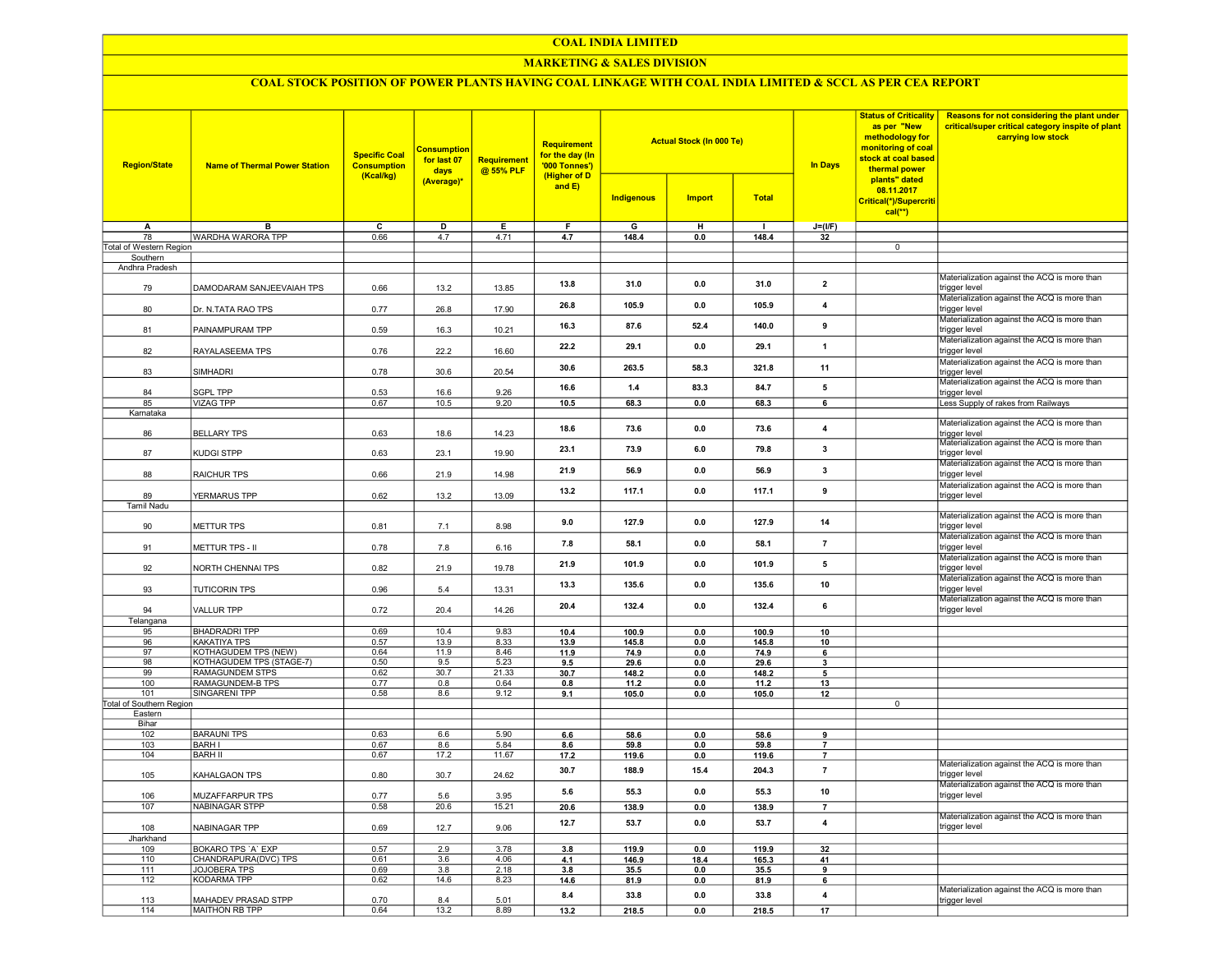#### COAL INDIA LIMITED

## MARKETING & SALES DIVISION

# COAL STOCK POSITION OF POWER PLANTS HAVING COAL LINKAGE WITH COAL INDIA LIMITED & SCCL AS PER CEA REPORT

| <b>Region/State</b>                 | <b>Name of Thermal Power Station</b>     | <b>Specific Coal</b><br><b>Consumption</b><br>(Kcal/kg) | <b>Consumption</b><br>for last 07<br>days | <b>Requirement</b><br>@ 55% PLF | Requirement<br>for the day (In<br>'000 Tonnes')<br>(Higher of D |                   | <b>Actual Stock (In 000 Te)</b> |              | In Days                 | <b>Status of Criticality</b><br>as per "New<br>methodology for<br>monitoring of coal<br>stock at coal based<br>thermal power<br>plants" dated | Reasons for not considering the plant under<br>critical/super critical category inspite of plant<br>carrying low stock |
|-------------------------------------|------------------------------------------|---------------------------------------------------------|-------------------------------------------|---------------------------------|-----------------------------------------------------------------|-------------------|---------------------------------|--------------|-------------------------|-----------------------------------------------------------------------------------------------------------------------------------------------|------------------------------------------------------------------------------------------------------------------------|
|                                     |                                          |                                                         | (Average)*                                |                                 | and $E$ )                                                       | <b>Indigenous</b> | <b>Import</b>                   | <b>Total</b> |                         | 08.11.2017<br>Critical(*)/Supercriti<br>$cal(**)$                                                                                             |                                                                                                                        |
| Α                                   | B                                        | $\overline{\mathsf{c}}$                                 | D                                         | Е                               | F                                                               | G                 | H                               | $\mathbf{I}$ | $J=(UF)$                |                                                                                                                                               |                                                                                                                        |
| 78                                  | WARDHA WARORA TPP                        | 0.66                                                    | 4.7                                       | 4.71                            | 4.7                                                             | 148.4             | 0.0                             | 148.4        | 32                      | $\overline{0}$                                                                                                                                |                                                                                                                        |
| Total of Western Region<br>Southern |                                          |                                                         |                                           |                                 |                                                                 |                   |                                 |              |                         |                                                                                                                                               |                                                                                                                        |
| Andhra Pradesh                      |                                          |                                                         |                                           |                                 |                                                                 |                   |                                 |              |                         |                                                                                                                                               |                                                                                                                        |
| 79                                  | DAMODARAM SANJEEVAIAH TPS                | 0.66                                                    | 13.2                                      | 13.85                           | 13.8                                                            | 31.0              | 0.0                             | 31.0         | $\overline{2}$          |                                                                                                                                               | Materialization against the ACQ is more than<br>trigger level                                                          |
| 80                                  | Dr. N.TATA RAO TPS                       | 0.77                                                    | 26.8                                      | 17.90                           | 26.8                                                            | 105.9             | 0.0                             | 105.9        | $\overline{\mathbf{4}}$ |                                                                                                                                               | Materialization against the ACQ is more than<br>trigger level                                                          |
| 81                                  | PAINAMPURAM TPP                          | 0.59                                                    | 16.3                                      | 10.21                           | 16.3                                                            | 87.6              | 52.4                            | 140.0        | 9                       |                                                                                                                                               | Materialization against the ACQ is more than<br>trigger level                                                          |
| 82                                  | RAYALASEEMA TPS                          | 0.76                                                    | 22.2                                      | 16.60                           | 22.2                                                            | 29.1              | 0.0                             | 29.1         | $\mathbf{1}$            |                                                                                                                                               | Materialization against the ACQ is more than<br>trigger level                                                          |
| 83                                  | <b>SIMHADRI</b>                          | 0.78                                                    | 30.6                                      | 20.54                           | 30.6                                                            | 263.5             | 58.3                            | 321.8        | 11                      |                                                                                                                                               | Materialization against the ACQ is more than<br>trigger level                                                          |
| 84                                  | SGPL TPP                                 | 0.53                                                    | 16.6                                      | 9.26                            | 16.6                                                            | 1.4               | 83.3                            | 84.7         | 5                       |                                                                                                                                               | Materialization against the ACQ is more than<br>trigger level                                                          |
| 85                                  | <b>VIZAG TPP</b>                         | 0.67                                                    | 10.5                                      | 9.20                            | 10.5                                                            | 68.3              | 0.0                             | 68.3         | 6                       |                                                                                                                                               | Less Supply of rakes from Railways                                                                                     |
| Karnataka                           |                                          |                                                         |                                           |                                 |                                                                 |                   |                                 |              |                         |                                                                                                                                               |                                                                                                                        |
| 86                                  | <b>BELLARY TPS</b>                       | 0.63                                                    | 18.6                                      | 14.23                           | 18.6                                                            | 73.6              | 0.0                             | 73.6         | 4                       |                                                                                                                                               | Materialization against the ACQ is more than<br>trigger level<br>Materialization against the ACQ is more than          |
| 87                                  | KUDGI STPP                               | 0.63                                                    | 23.1                                      | 19.90                           | 23.1                                                            | 73.9              | 6.0                             | 79.8         | 3                       |                                                                                                                                               | trigger level<br>Materialization against the ACQ is more than                                                          |
| 88                                  | RAICHUR TPS                              | 0.66                                                    | 21.9                                      | 14.98                           | 21.9                                                            | 56.9              | 0.0                             | 56.9         | $\overline{\mathbf{3}}$ |                                                                                                                                               | trigger level<br>Materialization against the ACQ is more than                                                          |
| 89<br><b>Tamil Nadu</b>             | YERMARUS TPP                             | 0.62                                                    | 13.2                                      | 13.09                           | 13.2                                                            | 117.1             | 0.0                             | 117.1        | 9                       |                                                                                                                                               | trigger level                                                                                                          |
| 90                                  | <b>METTUR TPS</b>                        | 0.81                                                    | 7.1                                       | 8.98                            | 9.0                                                             | 127.9             | 0.0                             | 127.9        | 14                      |                                                                                                                                               | Materialization against the ACQ is more than<br>trigger level<br>Materialization against the ACQ is more than          |
| 91                                  | METTUR TPS - II                          | 0.78                                                    | 7.8                                       | 6.16                            | 7.8                                                             | 58.1              | 0.0                             | 58.1         | $\overline{7}$          |                                                                                                                                               | trigger level<br>Materialization against the ACQ is more than                                                          |
| 92                                  | NORTH CHENNAI TPS                        | 0.82                                                    | 21.9                                      | 19.78                           | 21.9                                                            | 101.9             | 0.0                             | 101.9        | 5                       |                                                                                                                                               | trigger level<br>Materialization against the ACQ is more than                                                          |
| 93                                  | <b>TUTICORIN TPS</b>                     | 0.96                                                    | 5.4                                       | 13.31                           | 13.3                                                            | 135.6             | 0.0                             | 135.6        | 10                      |                                                                                                                                               | trigger level<br>Materialization against the ACQ is more than                                                          |
| 94<br>Telangana                     | <b>VALLUR TPP</b>                        | 0.72                                                    | 20.4                                      | 14.26                           | 20.4                                                            | 132.4             | 0.0                             | 132.4        | 6                       |                                                                                                                                               | trigger level                                                                                                          |
| 95                                  | <b>BHADRADRI TPP</b>                     | 0.69                                                    | 10.4                                      | 9.83                            | 10.4                                                            | 100.9             | 0.0                             | 100.9        | 10                      |                                                                                                                                               |                                                                                                                        |
| 96                                  | KAKATIYA TPS                             | 0.57                                                    | 13.9                                      | 8.33                            | 13.9                                                            | 145.8             | 0.0                             | 145.8        | 10                      |                                                                                                                                               |                                                                                                                        |
| 97                                  | <b>KOTHAGUDEM TPS (NEW)</b>              | 0.64                                                    | 11.9                                      | 8.46                            | 11.9                                                            | 74.9              | 0.0                             | 74.9         | 6                       |                                                                                                                                               |                                                                                                                        |
| 98                                  | KOTHAGUDEM TPS (STAGE-7)                 | 0.50                                                    | 9.5                                       | 5.23                            | 9.5                                                             | 29.6              | 0.0                             | 29.6         | $\overline{\mathbf{3}}$ |                                                                                                                                               |                                                                                                                        |
| 99                                  | <b>RAMAGUNDEM STPS</b>                   | 0.62                                                    | 30.7                                      | 21.33                           | 30.7                                                            | 148.2             | 0.0                             | 148.2        | 5                       |                                                                                                                                               |                                                                                                                        |
| 100                                 | RAMAGUNDEM-B TPS<br><b>SINGARENI TPP</b> | 0.77                                                    | 0.8                                       | 0.64                            | 0.8                                                             | 11.2              | 0.0                             | 11.2         | 13                      |                                                                                                                                               |                                                                                                                        |
| 101<br>Total of Southern Region     |                                          | 0.58                                                    | 8.6                                       | 9.12                            | 9.1                                                             | 105.0             | 0.0                             | 105.0        | 12                      | $\overline{0}$                                                                                                                                |                                                                                                                        |
| Eastern                             |                                          |                                                         |                                           |                                 |                                                                 |                   |                                 |              |                         |                                                                                                                                               |                                                                                                                        |
| Bihar                               |                                          |                                                         |                                           |                                 |                                                                 |                   |                                 |              |                         |                                                                                                                                               |                                                                                                                        |
| 102                                 | <b>BARAUNI TPS</b>                       | 0.63                                                    | 6.6                                       | 5.90                            | 6.6                                                             | 58.6              | 0.0                             | 58.6         | 9                       |                                                                                                                                               |                                                                                                                        |
| 103                                 | <b>BARH I</b>                            | 0.67                                                    | 8.6                                       | 5.84                            | 8.6                                                             | 59.8              | 0.0                             | 59.8         | $\overline{7}$          |                                                                                                                                               |                                                                                                                        |
| 104                                 | <b>BARH II</b>                           | 0.67                                                    | 17.2                                      | 11.67                           | 17.2                                                            | 119.6             | 0.0                             | 119.6        | $\overline{7}$          |                                                                                                                                               |                                                                                                                        |
| 105                                 | KAHALGAON TPS                            | 0.80                                                    | 30.7                                      | 24.62                           | 30.7                                                            | 188.9             | 15.4                            | 204.3        | $\overline{7}$          |                                                                                                                                               | Materialization against the ACQ is more than<br>trigger level                                                          |
| 106                                 | MUZAFFARPUR TPS                          | 0.77                                                    | 5.6                                       | 3.95                            | 5.6                                                             | 55.3              | 0.0                             | 55.3         | 10                      |                                                                                                                                               | Materialization against the ACQ is more than<br>trigger level                                                          |
| 107                                 | <b>NABINAGAR STPP</b>                    | 0.58                                                    | 20.6                                      | 15.21                           | 20.6                                                            | 138.9             | 0.0                             | 138.9        | $\overline{7}$          |                                                                                                                                               | Materialization against the ACQ is more than                                                                           |
| 108<br>Jharkhand                    | NABINAGAR TPP                            | 0.69                                                    | 12.7                                      | 9.06                            | 12.7                                                            | 53.7              | 0.0                             | 53.7         | 4                       |                                                                                                                                               | trigger level                                                                                                          |
| 109                                 | BOKARO TPS 'A' EXP                       | 0.57                                                    | 2.9                                       | 3.78                            | 3.8                                                             | 119.9             | 0 <sub>0</sub>                  | 119.9        | 32                      |                                                                                                                                               |                                                                                                                        |
| 110                                 | CHANDRAPURA(DVC) TPS                     | 0.61                                                    | 3.6                                       | 4.06                            | 4.1                                                             | 146.9             | 18.4                            | 165.3        | 41                      |                                                                                                                                               |                                                                                                                        |
| 111                                 | <b>JOJOBERA TPS</b>                      | 0.69                                                    | 3.8                                       | 2.18                            | 3.8                                                             | 35.5              | 0.0                             | 35.5         | 9                       |                                                                                                                                               |                                                                                                                        |
| 112                                 | <b>KODARMA TPP</b>                       | 0.62                                                    | 14.6                                      | 8.23                            | 14.6                                                            | 81.9              | 0.0                             | 81.9         | 6                       |                                                                                                                                               |                                                                                                                        |
| 113                                 | MAHADEV PRASAD STPP                      | 0.70                                                    | 8.4                                       | 5.01                            | 8.4                                                             | 33.8              | 0.0                             | 33.8         | 4                       |                                                                                                                                               | Materialization against the ACQ is more than<br>trigger level                                                          |
| 114                                 | MAITHON RB TPP                           | 0.64                                                    | 13.2                                      | 8.89                            | 13.2                                                            | 218.5             | 0.0                             | 218.5        | 17                      |                                                                                                                                               |                                                                                                                        |